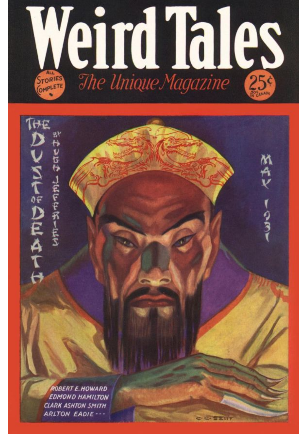

ぬそく

## いりしらていりにATG ぶやりせけ しちもさがした

**ROBERT E. HOWARD EDMOND HAMILTON CLARK ASHTON SMITH** ARLTON EADIE ---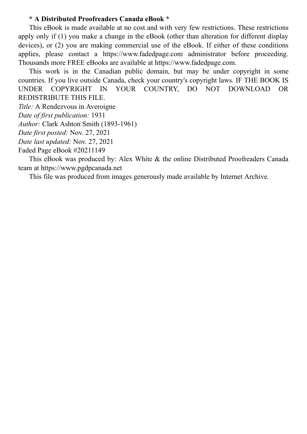## **\* A Distributed Proofreaders Canada eBook \***

This eBook is made available at no cost and with very few restrictions. These restrictions apply only if (1) you make a change in the eBook (other than alteration for different display devices), or (2) you are making commercial use of the eBook. If either of these conditions applies, please contact a https://www.fadedpage.com administrator before proceeding. Thousands more FREE eBooks are available at https://www.fadedpage.com.

This work is in the Canadian public domain, but may be under copyright in some countries. If you live outside Canada, check your country's copyright laws. IF THE BOOK IS UNDER COPYRIGHT IN YOUR COUNTRY, DO NOT DOWNLOAD OR REDISTRIBUTE THIS FILE.

*Title:* A Rendezvous in Averoigne

*Date of first publication:* 1931

*Author:* Clark Ashton Smith (1893-1961)

*Date first posted:* Nov. 27, 2021

*Date last updated:* Nov. 27, 2021

Faded Page eBook #20211149

This eBook was produced by: Alex White & the online Distributed Proofreaders Canada team at https://www.pgdpcanada.net

This file was produced from images generously made available by Internet Archive.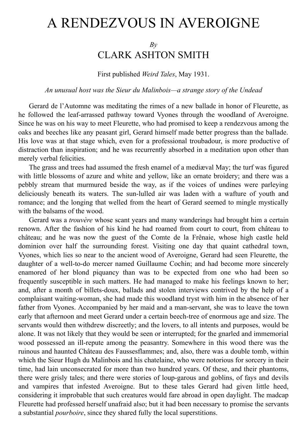## A RENDEZVOUS IN AVEROIGNE

## *By* CLARK ASHTON SMITH

First published *Weird Tales*, May 1931.

*An unusual host was the Sieur du Malinbois—a strange story of the Undead*

Gerard de l'Automne was meditating the rimes of a new ballade in honor of Fleurette, as he followed the leaf-arrassed pathway toward Vyones through the woodland of Averoigne. Since he was on his way to meet Fleurette, who had promised to keep a rendezvous among the oaks and beeches like any peasant girl, Gerard himself made better progress than the ballade. His love was at that stage which, even for a professional troubadour, is more productive of distraction than inspiration; and he was recurrently absorbed in a meditation upon other than merely verbal felicities.

The grass and trees had assumed the fresh enamel of a mediæval May; the turf was figured with little blossoms of azure and white and yellow, like an ornate broidery; and there was a pebbly stream that murmured beside the way, as if the voices of undines were parleying deliciously beneath its waters. The sun-lulled air was laden with a wafture of youth and romance; and the longing that welled from the heart of Gerard seemed to mingle mystically with the balsams of the wood.

Gerard was a *trouvère* whose scant years and many wanderings had brought him a certain renown. After the fashion of his kind he had roamed from court to court, from château to château; and he was now the guest of the Comte de la Frênaie, whose high castle held dominion over half the surrounding forest. Visiting one day that quaint cathedral town, Vyones, which lies so near to the ancient wood of Averoigne, Gerard had seen Fleurette, the daughter of a well-to-do mercer named Guillaume Cochin; and had become more sincerely enamored of her blond piquancy than was to be expected from one who had been so frequently susceptible in such matters. He had managed to make his feelings known to her; and, after a month of billets-doux, ballads and stolen interviews contrived by the help of a complaisant waiting-woman, she had made this woodland tryst with him in the absence of her father from Vyones. Accompanied by her maid and a man-servant, she was to leave the town early that afternoon and meet Gerard under a certain beech-tree of enormous age and size. The servants would then withdrew discreetly; and the lovers, to all intents and purposes, would be alone. It was not likely that they would be seen or interrupted; for the gnarled and immemorial wood possessed an ill-repute among the peasantry. Somewhere in this wood there was the ruinous and haunted Château des Faussesflammes; and, also, there was a double tomb, within which the Sieur Hugh du Malinbois and his chatelaine, who were notorious for sorcery in their time, had lain unconsecrated for more than two hundred years. Of these, and their phantoms, there were grisly tales; and there were stories of loup-garous and goblins, of fays and devils and vampires that infested Averoigne. But to these tales Gerard had given little heed, considering it improbable that such creatures would fare abroad in open daylight. The madcap Fleurette had professed herself unafraid also; but it had been necessary to promise the servants a substantial *pourboire*, since they shared fully the local superstitions.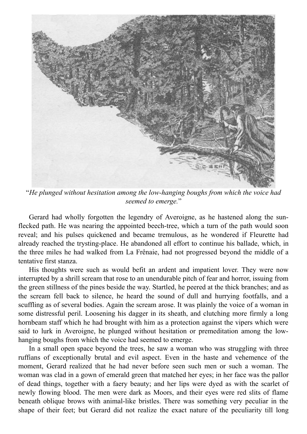

"*He plunged without hesitation among the low-hanging boughs from which the voice had seemed to emerge.*"

Gerard had wholly forgotten the legendry of Averoigne, as he hastened along the sunflecked path. He was nearing the appointed beech-tree, which a turn of the path would soon reveal; and his pulses quickened and became tremulous, as he wondered if Fleurette had already reached the trysting-place. He abandoned all effort to continue his ballade, which, in the three miles he had walked from La Frênaie, had not progressed beyond the middle of a tentative first stanza.

His thoughts were such as would befit an ardent and impatient lover. They were now interrupted by a shrill scream that rose to an unendurable pitch of fear and horror, issuing from the green stillness of the pines beside the way. Startled, he peered at the thick branches; and as the scream fell back to silence, he heard the sound of dull and hurrying footfalls, and a scuffling as of several bodies. Again the scream arose. It was plainly the voice of a woman in some distressful peril. Loosening his dagger in its sheath, and clutching more firmly a long hornbeam staff which he had brought with him as a protection against the vipers which were said to lurk in Averoigne, he plunged without hesitation or premeditation among the lowhanging boughs from which the voice had seemed to emerge.

In a small open space beyond the trees, he saw a woman who was struggling with three ruffians of exceptionally brutal and evil aspect. Even in the haste and vehemence of the moment, Gerard realized that he had never before seen such men or such a woman. The woman was clad in a gown of emerald green that matched her eyes; in her face was the pallor of dead things, together with a faery beauty; and her lips were dyed as with the scarlet of newly flowing blood. The men were dark as Moors, and their eyes were red slits of flame beneath oblique brows with animal-like bristles. There was something very peculiar in the shape of their feet; but Gerard did not realize the exact nature of the peculiarity till long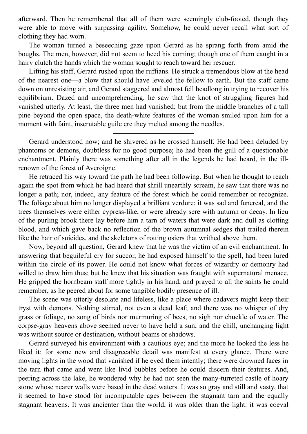afterward. Then he remembered that all of them were seemingly club-footed, though they were able to move with surpassing agility. Somehow, he could never recall what sort of clothing they had worn.

The woman turned a beseeching gaze upon Gerard as he sprang forth from amid the boughs. The men, however, did not seem to heed his coming; though one of them caught in a hairy clutch the hands which the woman sought to reach toward her rescuer.

Lifting his staff, Gerard rushed upon the ruffians. He struck a tremendous blow at the head of the nearest one—a blow that should have leveled the fellow to earth. But the staff came down on unresisting air, and Gerard staggered and almost fell headlong in trying to recover his equilibrium. Dazed and uncomprehending, he saw that the knot of struggling figures had vanished utterly. At least, the three men had vanished; but from the middle branches of a tall pine beyond the open space, the death-white features of the woman smiled upon him for a moment with faint, inscrutable guile ere they melted among the needles.

Gerard understood now; and he shivered as he crossed himself. He had been deluded by phantoms or demons, doubtless for no good purpose; he had been the gull of a questionable enchantment. Plainly there was something after all in the legends he had heard, in the illrenown of the forest of Averoigne.

He retraced his way toward the path he had been following. But when he thought to reach again the spot from which he had heard that shrill unearthly scream, he saw that there was no longer a path; nor, indeed, any feature of the forest which he could remember or recognize. The foliage about him no longer displayed a brilliant verdure; it was sad and funereal, and the trees themselves were either cypress-like, or were already sere with autumn or decay. In lieu of the purling brook there lay before him a tarn of waters that were dark and dull as clotting blood, and which gave back no reflection of the brown autumnal sedges that trailed therein like the hair of suicides, and the skeletons of rotting osiers that writhed above them.

Now, beyond all question, Gerard knew that he was the victim of an evil enchantment. In answering that beguileful cry for succor, he had exposed himself to the spell, had been lured within the circle of its power. He could not know what forces of wizardry or demonry had willed to draw him thus; but he knew that his situation was fraught with supernatural menace. He gripped the hornbeam staff more tightly in his hand, and prayed to all the saints he could remember, as he peered about for some tangible bodily presence of ill.

The scene was utterly desolate and lifeless, like a place where cadavers might keep their tryst with demons. Nothing stirred, not even a dead leaf; and there was no whisper of dry grass or foliage, no song of birds nor murmuring of bees, no sigh nor chuckle of water. The corpse-gray heavens above seemed never to have held a sun; and the chill, unchanging light was without source or destination, without beams or shadows.

Gerard surveyed his environment with a cautious eye; and the more he looked the less he liked it: for some new and disagreeable detail was manifest at every glance. There were moving lights in the wood that vanished if he eyed them intently; there were drowned faces in the tarn that came and went like livid bubbles before he could discern their features. And, peering across the lake, he wondered why he had not seen the many-turreted castle of hoary stone whose nearer walls were based in the dead waters. It was so gray and still and vasty, that it seemed to have stood for incomputable ages between the stagnant tarn and the equally stagnant heavens. It was ancienter than the world, it was older than the light: it was coeval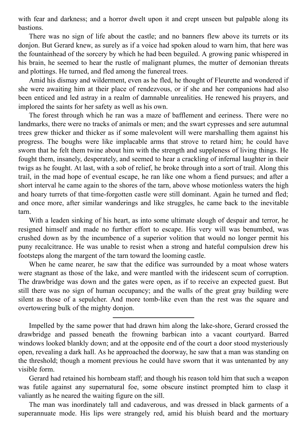with fear and darkness; and a horror dwelt upon it and crept unseen but palpable along its bastions.

There was no sign of life about the castle; and no banners flew above its turrets or its donjon. But Gerard knew, as surely as if a voice had spoken aloud to warn him, that here was the fountainhead of the sorcery by which he had been beguiled. A growing panic whispered in his brain, he seemed to hear the rustle of malignant plumes, the mutter of demonian threats and plottings. He turned, and fled among the funereal trees.

Amid his dismay and wilderment, even as he fled, he thought of Fleurette and wondered if she were awaiting him at their place of rendezvous, or if she and her companions had also been enticed and led astray in a realm of damnable unrealities. He renewed his prayers, and implored the saints for her safety as well as his own.

The forest through which he ran was a maze of bafflement and eeriness. There were no landmarks, there were no tracks of animals or men; and the swart cypresses and sere autumnal trees grew thicker and thicker as if some malevolent will were marshalling them against his progress. The boughs were like implacable arms that strove to retard him; he could have sworn that he felt them twine about him with the strength and suppleness of living things. He fought them, insanely, desperately, and seemed to hear a crackling of infernal laughter in their twigs as he fought. At last, with a sob of relief, he broke through into a sort of trail. Along this trail, in the mad hope of eventual escape, he ran like one whom a fiend pursues; and after a short interval he came again to the shores of the tarn, above whose motionless waters the high and hoary turrets of that time-forgotten castle were still dominant. Again he turned and fled; and once more, after similar wanderings and like struggles, he came back to the inevitable tarn.

With a leaden sinking of his heart, as into some ultimate slough of despair and terror, he resigned himself and made no further effort to escape. His very will was benumbed, was crushed down as by the incumbence of a superior volition that would no longer permit his puny recalcitrance. He was unable to resist when a strong and hateful compulsion drew his footsteps along the margent of the tarn toward the looming castle.

When he came nearer, he saw that the edifice was surrounded by a moat whose waters were stagnant as those of the lake, and were mantled with the iridescent scum of corruption. The drawbridge was down and the gates were open, as if to receive an expected guest. But still there was no sign of human occupancy; and the walls of the great gray building were silent as those of a sepulcher. And more tomb-like even than the rest was the square and overtowering bulk of the mighty donjon.

Impelled by the same power that had drawn him along the lake-shore, Gerard crossed the drawbridge and passed beneath the frowning barbican into a vacant courtyard. Barred windows looked blankly down; and at the opposite end of the court a door stood mysteriously open, revealing a dark hall. As he approached the doorway, he saw that a man was standing on the threshold; though a moment previous he could have sworn that it was untenanted by any visible form.

Gerard had retained his hornbeam staff; and though his reason told him that such a weapon was futile against any supernatural foe, some obscure instinct prompted him to clasp it valiantly as he neared the waiting figure on the sill.

The man was inordinately tall and cadaverous, and was dressed in black garments of a superannuate mode. His lips were strangely red, amid his bluish beard and the mortuary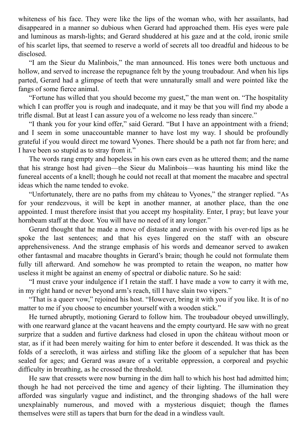whiteness of his face. They were like the lips of the woman who, with her assailants, had disappeared in a manner so dubious when Gerard had approached them. His eyes were pale and luminous as marsh-lights; and Gerard shuddered at his gaze and at the cold, ironic smile of his scarlet lips, that seemed to reserve a world of secrets all too dreadful and hideous to be disclosed.

"I am the Sieur du Malinbois," the man announced. His tones were both unctuous and hollow, and served to increase the repugnance felt by the young troubadour. And when his lips parted, Gerard had a glimpse of teeth that were unnaturally small and were pointed like the fangs of some fierce animal.

"Fortune has willed that you should become my guest," the man went on. "The hospitality which I can proffer you is rough and inadequate, and it may be that you will find my abode a trifle dismal. But at least I can assure you of a welcome no less ready than sincere."

"I thank you for your kind offer," said Gerard. "But I have an appointment with a friend; and I seem in some unaccountable manner to have lost my way. I should be profoundly grateful if you would direct me toward Vyones. There should be a path not far from here; and I have been so stupid as to stray from it."

The words rang empty and hopeless in his own ears even as he uttered them; and the name that his strange host had given—the Sieur du Malinbois—was haunting his mind like the funereal accents of a knell; though he could not recall at that moment the macabre and spectral ideas which the name tended to evoke.

"Unfortunately, there are no paths from my château to Vyones," the stranger replied. "As for your rendezvous, it will be kept in another manner, at another place, than the one appointed. I must therefore insist that you accept my hospitality. Enter, I pray; but leave your hornbeam staff at the door. You will have no need of it any longer."

Gerard thought that he made a move of distaste and aversion with his over-red lips as he spoke the last sentences; and that his eyes lingered on the staff with an obscure apprehensiveness. And the strange emphasis of his words and demeanor served to awaken other fantasmal and macabre thoughts in Gerard's brain; though he could not formulate them fully till afterward. And somehow he was prompted to retain the weapon, no matter how useless it might be against an enemy of spectral or diabolic nature. So he said:

"I must crave your indulgence if I retain the staff. I have made a vow to carry it with me, in my right hand or never beyond arm's reach, till I have slain two vipers."

"That is a queer vow," rejoined his host. "However, bring it with you if you like. It is of no matter to me if you choose to encumber yourself with a wooden stick."

He turned abruptly, motioning Gerard to follow him. The troubadour obeyed unwillingly, with one rearward glance at the vacant heavens and the empty courtyard. He saw with no great surprize that a sudden and furtive darkness had closed in upon the château without moon or star, as if it had been merely waiting for him to enter before it descended. It was thick as the folds of a serecloth, it was airless and stifling like the gloom of a sepulcher that has been sealed for ages; and Gerard was aware of a veritable oppression, a corporeal and psychic difficulty in breathing, as he crossed the threshold.

He saw that cressets were now burning in the dim hall to which his host had admitted him; though he had not perceived the time and agency of their lighting. The illumination they afforded was singularly vague and indistinct, and the thronging shadows of the hall were unexplainably numerous, and moved with a mysterious disquiet; though the flames themselves were still as tapers that burn for the dead in a windless vault.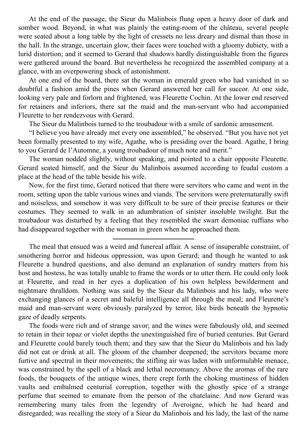At the end of the passage, the Sieur du Malinbois flung open a heavy door of dark and somber wood. Beyond, in what was plainly the eating-room of the château, several people were seated about a long table by the light of cressets no less dreary and dismal than those in the hall. In the strange, uncertain glow, their faces were touched with a gloomy dubiety, with a lurid distortion; and it seemed to Gerard that shadows hardly distinguishable from the figures were gathered around the board. But nevertheless he recognized the assembled company at a glance, with an overpowering shock of astonishment.

At one end of the board, there sat the woman in emerald green who had vanished in so doubtful a fashion amid the pines when Gerard answered her call for succor. At one side, looking very pale and forlorn and frightened, was Fleurette Cochin. At the lower end reserved for retainers and inferiors, there sat the maid and the man-servant who had accompanied Fleurette to her rendezvous with Gerard.

The Sieur du Malinbois turned to the troubadour with a smile of sardonic amusement.

"I believe you have already met every one assembled," he observed. "But you have not yet been formally presented to my wife, Agathe, who is presiding over the board. Agathe, I bring to you Gerard de l'Automne, a young troubadour of much note and merit."

The woman nodded slightly, without speaking, and pointed to a chair opposite Fleurette. Gerard seated himself, and the Sieur du Malinbois assumed according to feudal custom a place at the head of the table beside his wife.

Now, for the first time, Gerard noticed that there were servitors who came and went in the room, setting upon the table various wines and viands. The servitors were preternaturally swift and noiseless, and somehow it was very difficult to be sure of their precise features or their costumes. They seemed to walk in an adumbration of sinister insoluble twilight. But the troubadour was disturbed by a feeling that they resembled the swart demoniac ruffians who had disappeared together with the woman in green when he approached them.

The meal that ensued was a weird and funereal affair. A sense of insuperable constraint, of smothering horror and hideous oppression, was upon Gerard; and though he wanted to ask Fleurette a hundred questions, and also demand an explanation of sundry matters from his host and hostess, he was totally unable to frame the words or to utter them. He could only look at Fleurette, and read in her eyes a duplication of his own helpless bewilderment and nightmare thralldom. Nothing was said by the Sieur du Malinbois and his lady, who were exchanging glances of a secret and baleful intelligence all through the meal; and Fleurette's maid and man-servant were obviously paralyzed by terror, like birds beneath the hypnotic gaze of deadly serpents.

The foods were rich and of strange savor; and the wines were fabulously old, and seemed to retain in their topaz or violet depths the unextinguished fire of buried centuries. But Gerard and Fleurette could barely touch them; and they saw that the Sieur du Malinbois and his lady did not eat or drink at all. The gloom of the chamber deepened; the servitors became more furtive and spectral in their movements; the stifling air was laden with unformulable menace, was constrained by the spell of a black and lethal necromancy. Above the aromas of the rare foods, the bouquets of the antique wines, there crept forth the choking mustiness of hidden vaults and embalmed centurial corruption, together with the ghostly spice of a strange perfume that seemed to emanate from the person of the chatelaine. And now Gerard was remembering many tales from the legendry of Averoigne, which he had heard and disregarded; was recalling the story of a Sieur du Malinbois and his lady, the last of the name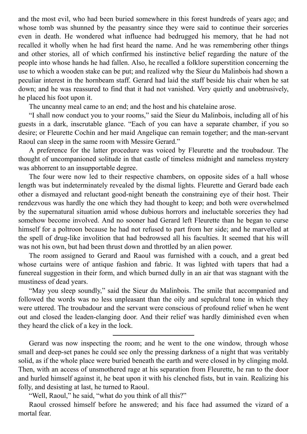and the most evil, who had been buried somewhere in this forest hundreds of years ago; and whose tomb was shunned by the peasantry since they were said to continue their sorceries even in death. He wondered what influence had bedrugged his memory, that he had not recalled it wholly when he had first heard the name. And he was remembering other things and other stories, all of which confirmed his instinctive belief regarding the nature of the people into whose hands he had fallen. Also, he recalled a folklore superstition concerning the use to which a wooden stake can be put; and realized why the Sieur du Malinbois had shown a peculiar interest in the hornbeam staff. Gerard had laid the staff beside his chair when he sat down; and he was reassured to find that it had not vanished. Very quietly and unobtrusively, he placed his foot upon it.

The uncanny meal came to an end; and the host and his chatelaine arose.

"I shall now conduct you to your rooms," said the Sieur du Malinbois, including all of his guests in a dark, inscrutable glance. "Each of you can have a separate chamber, if you so desire; or Fleurette Cochin and her maid Angelique can remain together; and the man-servant Raoul can sleep in the same room with Messire Gerard."

A preference for the latter procedure was voiced by Fleurette and the troubadour. The thought of uncompanioned solitude in that castle of timeless midnight and nameless mystery was abhorrent to an insupportable degree.

The four were now led to their respective chambers, on opposite sides of a hall whose length was but indeterminately revealed by the dismal lights. Fleurette and Gerard bade each other a dismayed and reluctant good-night beneath the constraining eye of their host. Their rendezvous was hardly the one which they had thought to keep; and both were overwhelmed by the supernatural situation amid whose dubious horrors and ineluctable sorceries they had somehow become involved. And no sooner had Gerard left Fleurette than he began to curse himself for a poltroon because he had not refused to part from her side; and he marvelled at the spell of drug-like involition that had bedrowsed all his faculties. It seemed that his will was not his own, but had been thrust down and throttled by an alien power.

The room assigned to Gerard and Raoul was furnished with a couch, and a great bed whose curtains were of antique fashion and fabric. It was lighted with tapers that had a funereal suggestion in their form, and which burned dully in an air that was stagnant with the mustiness of dead years.

"May you sleep soundly," said the Sieur du Malinbois. The smile that accompanied and followed the words was no less unpleasant than the oily and sepulchral tone in which they were uttered. The troubadour and the servant were conscious of profound relief when he went out and closed the leaden-clanging door. And their relief was hardly diminished even when they heard the click of a key in the lock.

Gerard was now inspecting the room; and he went to the one window, through whose small and deep-set panes he could see only the pressing darkness of a night that was veritably solid, as if the whole place were buried beneath the earth and were closed in by clinging mold. Then, with an access of unsmothered rage at his separation from Fleurette, he ran to the door and hurled himself against it, he beat upon it with his clenched fists, but in vain. Realizing his folly, and desisting at last, he turned to Raoul.

"Well, Raoul," he said, "what do you think of all this?"

Raoul crossed himself before he answered; and his face had assumed the vizard of a mortal fear.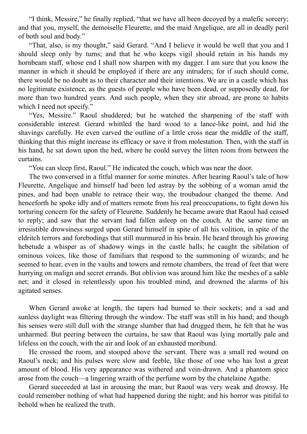"I think, Messire," he finally replied, "that we have all been decoyed by a malefic sorcery; and that you, myself, the demoiselle Fleurette, and the maid Angelique, are all in deadly peril of both soul and body."

"That, also, is my thought," said Gerard. "And I believe it would be well that you and I should sleep only by turns; and that he who keeps vigil should retain in his hands my hornbeam staff, whose end I shall now sharpen with my dagger. I am sure that you know the manner in which it should be employed if there are any intruders; for if such should come, there would be no doubt as to their character and their intentions. We are in a castle which has no legitimate existence, as the guests of people who have been dead, or supposedly dead, for more than two hundred years. And such people, when they stir abroad, are prone to habits which I need not specify."

"Yes, Messire." Raoul shuddered; but he watched the sharpening of the staff with considerable interest. Gerard whittled the hard wood to a lance-like point, and hid the shavings carefully. He even carved the outline of a little cross near the middle of the staff, thinking that this might increase its efficacy or save it from molestation. Then, with the staff in his hand, he sat down upon the bed, where he could survey the litten room from between the curtains.

"You can sleep first, Raoul." He indicated the couch, which was near the door.

The two conversed in a fitful manner for some minutes. After hearing Raoul's tale of how Fleurette, Angelique and himself had been led astray by the sobbing of a woman amid the pines, and had been unable to retrace their way, the troubadour changed the theme. And henceforth he spoke idly and of matters remote from his real preoccupations, to fight down his torturing concern for the safety of Fleurette. Suddenly he became aware that Raoul had ceased to reply; and saw that the servant had fallen asleep on the couch. At the same time an irresistible drowsiness surged upon Gerard himself in spite of all his volition, in spite of the eldritch terrors and forebodings that still murmured in his brain. He heard through his growing hebetude a whisper as of shadowy wings in the castle halls; he caught the sibilation of ominous voices, like those of familiars that respond to the summoning of wizards; and he seemed to hear, even in the vaults and towers and remote chambers, the tread of feet that were hurrying on malign and secret errands. But oblivion was around him like the meshes of a sable net; and it closed in relentlessly upon his troubled mind, and drowned the alarms of his agitated senses.

When Gerard awoke at length, the tapers had burned to their sockets; and a sad and sunless daylight was filtering through the window. The staff was still in his hand; and though his senses were still dull with the strange slumber that had drugged them, he felt that he was unharmed. But peering between the curtains, he saw that Raoul was lying mortally pale and lifeless on the couch, with the air and look of an exhausted moribund.

He crossed the room, and stooped above the servant. There was a small red wound on Raoul's neck; and his pulses were slow and feeble, like those of one who has lost a great amount of blood. His very appearance was withered and vein-drawn. And a phantom spice arose from the couch—a lingering wraith of the perfume worn by the chatelaine Agathe.

Gerard succeeded at last in arousing the man; but Raoul was very weak and drowsy. He could remember nothing of what had happened during the night; and his horror was pitiful to behold when he realized the truth.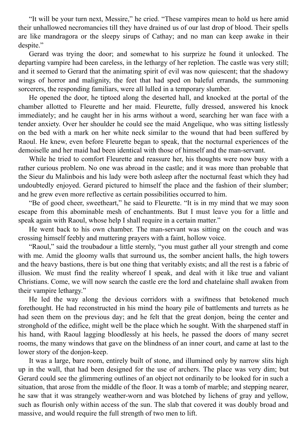"It will be your turn next, Messire," he cried. "These vampires mean to hold us here amid their unhallowed necromancies till they have drained us of our last drop of blood. Their spells are like mandragora or the sleepy sirups of Cathay; and no man can keep awake in their despite."

Gerard was trying the door; and somewhat to his surprize he found it unlocked. The departing vampire had been careless, in the lethargy of her repletion. The castle was very still; and it seemed to Gerard that the animating spirit of evil was now quiescent; that the shadowy wings of horror and malignity, the feet that had sped on baleful errands, the summoning sorcerers, the responding familiars, were all lulled in a temporary slumber.

He opened the door, he tiptoed along the deserted hall, and knocked at the portal of the chamber allotted to Fleurette and her maid. Fleurette, fully dressed, answered his knock immediately; and he caught her in his arms without a word, searching her wan face with a tender anxiety. Over her shoulder he could see the maid Angelique, who was sitting listlessly on the bed with a mark on her white neck similar to the wound that had been suffered by Raoul. He knew, even before Fleurette began to speak, that the nocturnal experiences of the demoiselle and her maid had been identical with those of himself and the man-servant.

While he tried to comfort Fleurette and reassure her, his thoughts were now busy with a rather curious problem. No one was abroad in the castle; and it was more than probable that the Sieur du Malinbois and his lady were both asleep after the nocturnal feast which they had undoubtedly enjoyed. Gerard pictured to himself the place and the fashion of their slumber; and he grew even more reflective as certain possibilities occurred to him.

"Be of good cheer, sweetheart," he said to Fleurette. "It is in my mind that we may soon escape from this abominable mesh of enchantments. But I must leave you for a little and speak again with Raoul, whose help I shall require in a certain matter."

He went back to his own chamber. The man-servant was sitting on the couch and was crossing himself feebly and muttering prayers with a faint, hollow voice.

"Raoul," said the troubadour a little sternly, "you must gather all your strength and come with me. Amid the gloomy walls that surround us, the somber ancient halls, the high towers and the heavy bastions, there is but one thing that veritably exists; and all the rest is a fabric of illusion. We must find the reality whereof I speak, and deal with it like true and valiant Christians. Come, we will now search the castle ere the lord and chatelaine shall awaken from their vampire lethargy."

He led the way along the devious corridors with a swiftness that betokened much forethought. He had reconstructed in his mind the hoary pile of battlements and turrets as he had seen them on the previous day; and he felt that the great donjon, being the center and stronghold of the edifice, might well be the place which he sought. With the sharpened staff in his hand, with Raoul lagging bloodlessly at his heels, he passed the doors of many secret rooms, the many windows that gave on the blindness of an inner court, and came at last to the lower story of the donjon-keep.

It was a large, bare room, entirely built of stone, and illumined only by narrow slits high up in the wall, that had been designed for the use of archers. The place was very dim; but Gerard could see the glimmering outlines of an object not ordinarily to be looked for in such a situation, that arose from the middle of the floor. It was a tomb of marble; and stepping nearer, he saw that it was strangely weather-worn and was blotched by lichens of gray and yellow, such as flourish only within access of the sun. The slab that covered it was doubly broad and massive, and would require the full strength of two men to lift.